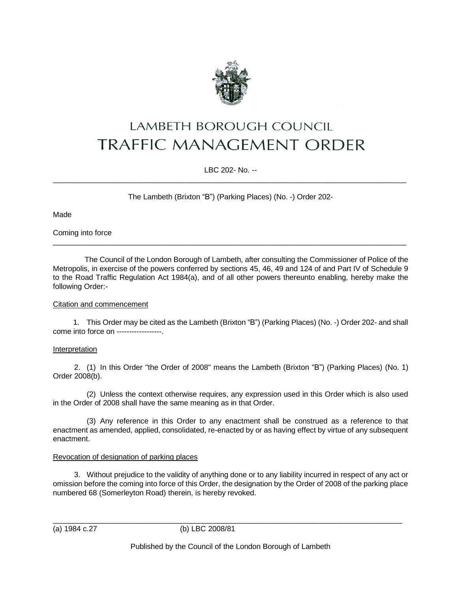

# **LAMBETH BOROUGH COUNCIL TRAFFIC MANAGEMENT ORDER**

LBC 202- No. --  $\_$  ,  $\_$  ,  $\_$  ,  $\_$  ,  $\_$  ,  $\_$  ,  $\_$  ,  $\_$  ,  $\_$  ,  $\_$  ,  $\_$  ,  $\_$  ,  $\_$  ,  $\_$  ,  $\_$  ,  $\_$  ,  $\_$  ,  $\_$  ,  $\_$  ,  $\_$  ,  $\_$  ,  $\_$  ,  $\_$  ,  $\_$  ,  $\_$  ,  $\_$  ,  $\_$  ,  $\_$  ,  $\_$  ,  $\_$  ,  $\_$  ,  $\_$  ,  $\_$  ,  $\_$  ,  $\_$  ,  $\_$  ,  $\_$  ,

The Lambeth (Brixton "B") (Parking Places) (No. -) Order 202-

Made

Coming into force

The Council of the London Borough of Lambeth, after consulting the Commissioner of Police of the Metropolis, in exercise of the powers conferred by sections 45, 46, 49 and 124 of and Part IV of Schedule 9 to the Road Traffic Regulation Act 1984(a), and of all other powers thereunto enabling, hereby make the following Order:-

 $\_$  , and the set of the set of the set of the set of the set of the set of the set of the set of the set of the set of the set of the set of the set of the set of the set of the set of the set of the set of the set of th

# Citation and commencement

1. This Order may be cited as the Lambeth (Brixton "B") (Parking Places) (No. -) Order 202- and shall come into force on ------------------.

# **Interpretation**

2. (1) In this Order "the Order of 2008" means the Lambeth (Brixton "B") (Parking Places) (No. 1) Order 2008(b).

(2) Unless the context otherwise requires, any expression used in this Order which is also used in the Order of 2008 shall have the same meaning as in that Order.

(3) Any reference in this Order to any enactment shall be construed as a reference to that enactment as amended, applied, consolidated, re-enacted by or as having effect by virtue of any subsequent enactment.

# Revocation of designation of parking places

3. Without prejudice to the validity of anything done or to any liability incurred in respect of any act or omission before the coming into force of this Order, the designation by the Order of 2008 of the parking place numbered 68 (Somerleyton Road) therein, is hereby revoked.

\_\_\_\_\_\_\_\_\_\_\_\_\_\_\_\_\_\_\_\_\_\_\_\_\_\_\_\_\_\_\_\_\_\_\_\_\_\_\_\_\_\_\_\_\_\_\_\_\_\_\_\_\_\_\_\_\_\_\_\_\_\_\_\_\_\_\_\_\_\_\_\_\_\_\_\_\_\_\_\_\_\_\_\_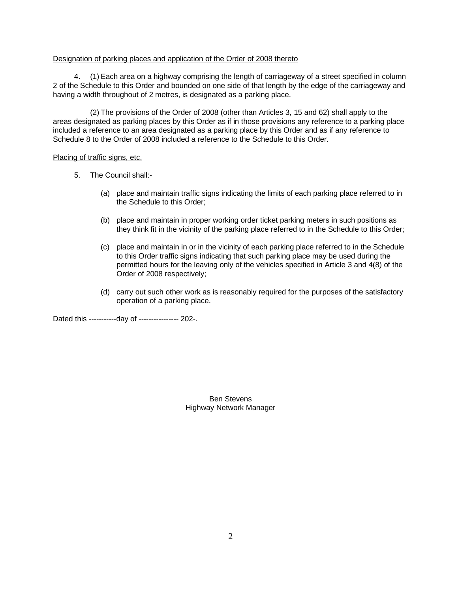#### Designation of parking places and application of the Order of 2008 thereto

4. (1) Each area on a highway comprising the length of carriageway of a street specified in column 2 of the Schedule to this Order and bounded on one side of that length by the edge of the carriageway and having a width throughout of 2 metres, is designated as a parking place.

(2) The provisions of the Order of 2008 (other than Articles 3, 15 and 62) shall apply to the areas designated as parking places by this Order as if in those provisions any reference to a parking place included a reference to an area designated as a parking place by this Order and as if any reference to Schedule 8 to the Order of 2008 included a reference to the Schedule to this Order.

#### Placing of traffic signs, etc.

- 5. The Council shall:-
	- (a) place and maintain traffic signs indicating the limits of each parking place referred to in the Schedule to this Order;
	- (b) place and maintain in proper working order ticket parking meters in such positions as they think fit in the vicinity of the parking place referred to in the Schedule to this Order;
	- (c) place and maintain in or in the vicinity of each parking place referred to in the Schedule to this Order traffic signs indicating that such parking place may be used during the permitted hours for the leaving only of the vehicles specified in Article 3 and 4(8) of the Order of 2008 respectively;
	- (d) carry out such other work as is reasonably required for the purposes of the satisfactory operation of a parking place.

Dated this -----------day of ---------------- 202-.

Ben Stevens Highway Network Manager